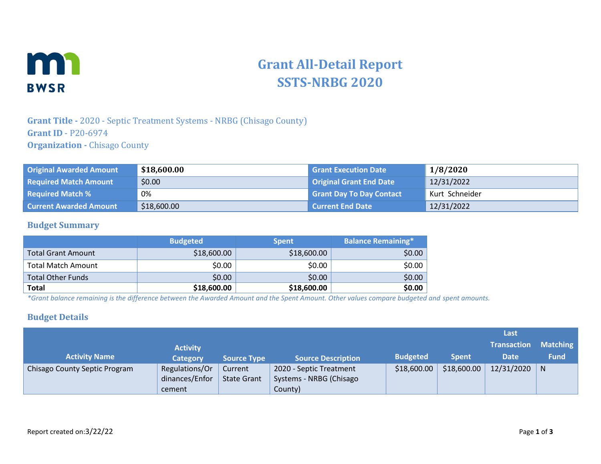

# **Grant All-Detail Report SSTS-NRBG 2020**

## **Grant Title -** 2020 - Septic Treatment Systems - NRBG (Chisago County) **Grant ID** - P20-6974 **Organization -** Chisago County

| <b>Original Awarded Amount</b> | \$18,600.00 | <b>Grant Execution Date</b>     | 1/8/2020       |
|--------------------------------|-------------|---------------------------------|----------------|
| <b>Required Match Amount</b>   | \$0.00      | <b>Original Grant End Date</b>  | 12/31/2022     |
| <b>Required Match %</b>        | 0%          | <b>Grant Day To Day Contact</b> | Kurt Schneider |
| <b>Current Awarded Amount</b>  | \$18,600.00 | <b>Current End Date</b>         | 12/31/2022     |

#### **Budget Summary**

|                           | <b>Budgeted</b> | <b>Spent</b> | <b>Balance Remaining*</b> |
|---------------------------|-----------------|--------------|---------------------------|
| <b>Total Grant Amount</b> | \$18,600.00     | \$18,600.00  | \$0.00                    |
| <b>Total Match Amount</b> | \$0.00          | \$0.00       | \$0.00                    |
| <b>Total Other Funds</b>  | \$0.00          | \$0.00       | \$0.00                    |
| <b>Total</b>              | \$18,600.00     | \$18,600.00  | \$0.00                    |

*\*Grant balance remaining is the difference between the Awarded Amount and the Spent Amount. Other values compare budgeted and spent amounts.*

#### **Budget Details**

|                               |                 |                    |                           |                 |              | Last               |                 |
|-------------------------------|-----------------|--------------------|---------------------------|-----------------|--------------|--------------------|-----------------|
|                               | <b>Activity</b> |                    |                           |                 |              | <b>Transaction</b> | <b>Matching</b> |
| <b>Activity Name</b>          | <b>Category</b> | <b>Source Type</b> | <b>Source Description</b> | <b>Budgeted</b> | <b>Spent</b> | <b>Date</b>        | <b>Fund</b>     |
| Chisago County Septic Program | Regulations/Or  | Current            | 2020 - Septic Treatment   | \$18,600.00     | \$18,600.00  | 12/31/2020         | N               |
|                               | dinances/Enfor  | <b>State Grant</b> | Systems - NRBG (Chisago   |                 |              |                    |                 |
|                               | cement          |                    | County)                   |                 |              |                    |                 |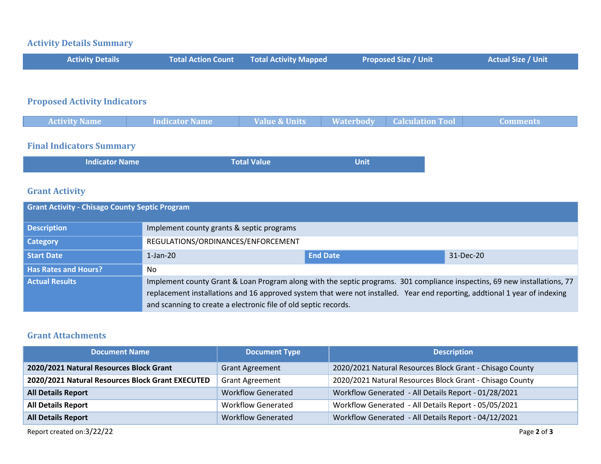#### **Activity Details Summary**

| <b>Activity Details</b> | <b>Total Action Count Fotal Activity Mapped</b> | <b>Proposed Size / Unit</b> | <b>Actual Size / Unit</b> |
|-------------------------|-------------------------------------------------|-----------------------------|---------------------------|
|                         |                                                 |                             |                           |

# **Proposed Activity Indicators**

| <b>Activity Name</b> | <b>Indicator Name</b> | <b>Value &amp; Units</b> | <b>Waterbody</b> | <b>Calculation Tool</b> | Comments |
|----------------------|-----------------------|--------------------------|------------------|-------------------------|----------|
|                      |                       |                          |                  |                         |          |

#### **Final Indicators Summary**

| <b>Indicator Name</b> | <b>Total Value</b> | Unit |  |
|-----------------------|--------------------|------|--|
|-----------------------|--------------------|------|--|

### **Grant Activity**

| <b>Grant Activity - Chisago County Septic Program</b> |                                                                                                                                                                                                                                                                                                                            |  |  |  |  |
|-------------------------------------------------------|----------------------------------------------------------------------------------------------------------------------------------------------------------------------------------------------------------------------------------------------------------------------------------------------------------------------------|--|--|--|--|
| <b>Description</b>                                    | Implement county grants & septic programs                                                                                                                                                                                                                                                                                  |  |  |  |  |
| <b>Category</b>                                       | REGULATIONS/ORDINANCES/ENFORCEMENT                                                                                                                                                                                                                                                                                         |  |  |  |  |
| <b>Start Date</b>                                     | <b>End Date</b><br>31-Dec-20<br>$1$ -Jan- $20$                                                                                                                                                                                                                                                                             |  |  |  |  |
| <b>Has Rates and Hours?</b>                           | No                                                                                                                                                                                                                                                                                                                         |  |  |  |  |
| <b>Actual Results</b>                                 | Implement county Grant & Loan Program along with the septic programs. 301 compliance inspectins, 69 new installations, 77<br>replacement installations and 16 approved system that were not installed. Year end reporting, addtional 1 year of indexing<br>and scanning to create a electronic file of old septic records. |  |  |  |  |

## **Grant Attachments**

| <b>Document Name</b>                             | <b>Document Type</b>      | <b>Description</b>                                       |
|--------------------------------------------------|---------------------------|----------------------------------------------------------|
| 2020/2021 Natural Resources Block Grant          | <b>Grant Agreement</b>    | 2020/2021 Natural Resources Block Grant - Chisago County |
| 2020/2021 Natural Resources Block Grant EXECUTED | <b>Grant Agreement</b>    | 2020/2021 Natural Resources Block Grant - Chisago County |
| <b>All Details Report</b>                        | <b>Workflow Generated</b> | Workflow Generated - All Details Report - 01/28/2021     |
| <b>All Details Report</b>                        | <b>Workflow Generated</b> | Workflow Generated - All Details Report - 05/05/2021     |
| <b>All Details Report</b>                        | <b>Workflow Generated</b> | Workflow Generated - All Details Report - 04/12/2021     |

Report created on:3/22/22 Page 2 of 3